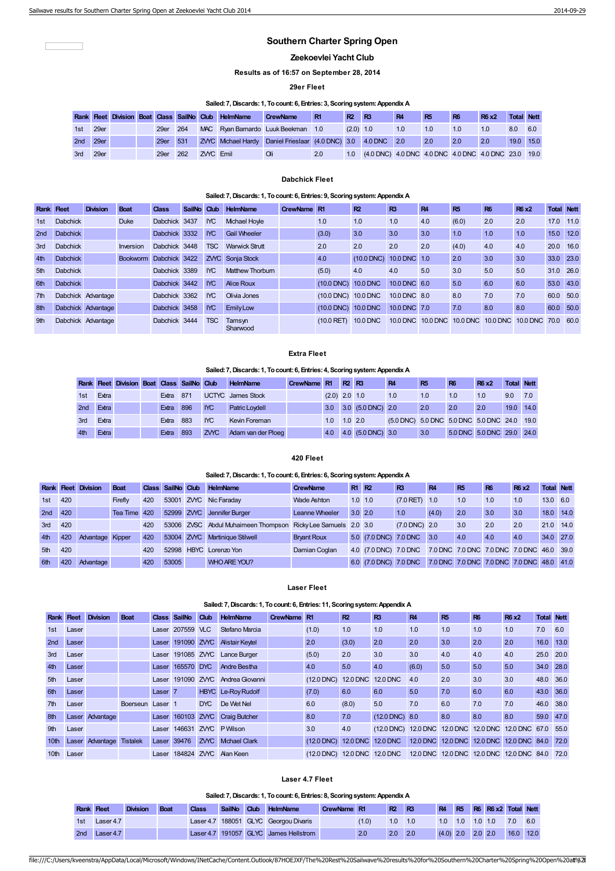$\sqrt{2}$ 

# **Southern Charter Spring Open**

## **Zeekoevlei Yacht Club**

**Results as of 16:57 on September 28, 2014**

## **29er Fleet**

## **Sailed:7,Discards:1, Tocount:6, Entries:3, Scoringsystem:Appendix A**

|          |          |  |          |          |                  | Rank Fleet Division Boat Class SailNo Club HelmName | <b>CrewName</b>                                             | R1  | R <sub>2</sub> | R <sub>3</sub>                                      | <b>R4</b> | <b>R5</b> | R <sub>6</sub> | <b>R6 x2</b> | Total Nett |     |
|----------|----------|--|----------|----------|------------------|-----------------------------------------------------|-------------------------------------------------------------|-----|----------------|-----------------------------------------------------|-----------|-----------|----------------|--------------|------------|-----|
| 1st 29er |          |  | 29er 264 |          |                  |                                                     | MAC Ryan Barnardo Luuk Beekman 1.0                          |     | $(2.0)$ 1.0    |                                                     | 1.0       | 1.0       | 1.0            | 1.0          | 8.0        | 6.0 |
|          | 2nd 29er |  |          | 29er 531 |                  |                                                     | ZWC Mchael Hardy Daniel Frieslaar (4.0 DNC) 3.0 4.0 DNC 2.0 |     |                |                                                     |           | 2.0       | 2.0            | 2.0          | 19.0 15.0  |     |
| 3rd 29er |          |  | 29er     | 262      | <b>ZVYC</b> Emil |                                                     |                                                             | 2.0 | 1.0            | (4.0 DNC) 4.0 DNC 4.0 DNC 4.0 DNC 4.0 DNC 23.0 19.0 |           |           |                |              |            |     |

#### **Dabchick Fleet**

## **Sailed:7,Discards:1, Tocount:6, Entries:9, Scoringsystem:Appendix A**

| <b>Rank Fleet</b> |                 | <b>Division</b>    | <b>Boat</b>     | <b>Class</b>  | SailNo Club |            | <b>HelmName</b>       | CrewName R1 |                               | R <sup>2</sup>  | R <sub>3</sub> | <b>R4</b> | R <sub>5</sub> | <b>R6</b>                                         | <b>R6 x2</b> | <b>Total Nett</b> |      |
|-------------------|-----------------|--------------------|-----------------|---------------|-------------|------------|-----------------------|-------------|-------------------------------|-----------------|----------------|-----------|----------------|---------------------------------------------------|--------------|-------------------|------|
| 1st               | <b>Dabchick</b> |                    | <b>Duke</b>     | Dabchick 3437 |             | <b>IYC</b> | <b>Mchael Hovie</b>   |             | 1.0                           | 1.0             | 1.0            | 4.0       | (6.0)          | 2.0                                               | 2.0          | 17.0              | 11.0 |
| 2nd               | <b>Dabchick</b> |                    |                 | Dabchick 3332 |             | <b>IYC</b> | <b>Gail Wheeler</b>   |             | (3.0)                         | 3.0             | 3.0            | 3.0       | 1.0            | 1.0                                               | 1.0          | 15.0              | 12.0 |
| 3rd               | <b>Dabchick</b> |                    | Inversion       | Dabchick 3448 |             | <b>TSC</b> | <b>Warwick Strutt</b> |             | 2.0                           | 2.0             | 2.0            | 2.0       | (4.0)          | 4.0                                               | 4.0          | 20.0 16.0         |      |
| 4th               | <b>Dabchick</b> |                    | <b>Bookworm</b> | Dabchick 3422 |             |            | ZVYC Sonja Stock      |             | 4.0                           | $(10.0$ DNC)    | 10.0 DNC 1.0   |           | 2.0            | 3.0                                               | 3.0          | 33.0              | 23.0 |
| 5th               | <b>Dabchick</b> |                    |                 | Dabchick 3389 |             | <b>IYC</b> | Matthew Thorburn      |             | (5.0)                         | 4.0             | 4.0            | 5.0       | 3.0            | 5.0                                               | 5.0          | 31.0 26.0         |      |
| 6th               | <b>Dabchick</b> |                    |                 | Dabchick 3442 |             | <b>IYC</b> | Alice Roux            |             | (10.0 DNC) 10.0 DNC           |                 | 10.0 DNC 6.0   |           | 5.0            | 6.0                                               | 6.0          | 53.0              | 43.0 |
| 7 <sup>th</sup>   |                 | Dabchick Advantage |                 | Dabchick 3362 |             | <b>IYC</b> | <b>Olivia Jones</b>   |             | (10.0 DNC) 10.0 DNC           |                 | 10.0 DNC 8.0   |           | 8.0            | 7.0                                               | 7.0          | 60.0              | 50.0 |
| 8th               |                 | Dabchick Advantage |                 | Dabchick 3458 |             | <b>IYC</b> | <b>Emily Low</b>      |             | $(10.0 \text{ DNC})$ 10.0 DNC |                 | 10.0 DNC 7.0   |           | 7.0            | 8.0                                               | 8.0          | 60.0              | 50.0 |
| 9 <sub>th</sub>   |                 | Dabchick Advantage |                 | Dabchick 3444 |             | <b>TSC</b> | Tamsyn<br>Sharwood    |             | $(10.0$ RET)                  | <b>10.0 DNC</b> |                |           |                | 10.0 DNC 10.0 DNC 10.0 DNC 10.0 DNC 10.0 DNC 70.0 |              |                   | 60.0 |

### **Extra Fleet**

## **Sailed:7,Discards:1, Tocount:6, Entries:4, Scoringsystem:Appendix A**

|                 |       | <b>Rank Fleet Division Boat Class SailNo Club</b> |                  |     |            | <b>HelmName</b>          | CrewName R1 |                 | <b>R2 R3</b> |                   | R <sub>4</sub>                              | <b>R5</b> | <b>R6</b> | <b>R6 x2</b>              | <b>Total Nett</b> |     |
|-----------------|-------|---------------------------------------------------|------------------|-----|------------|--------------------------|-------------|-----------------|--------------|-------------------|---------------------------------------------|-----------|-----------|---------------------------|-------------------|-----|
| 1st             | Extra |                                                   | Extra 871        |     |            | <b>UCTYC</b> James Stock |             | $(2.0)$ 2.0 1.0 |              |                   | 1.0                                         | 1.0       | 1.0       | 1.0                       | 9.0               | 7.0 |
| 2 <sub>nd</sub> | Extra |                                                   | Extra 896        |     | NC         | <b>Patric Loydell</b>    |             | 3.0             |              | 3.0 (5.0 DNC) 2.0 |                                             | 2.0       | 2.0       | 2.0                       | 19.0 14.0         |     |
| 3rd             | Extra |                                                   | <b>Extra</b> 883 |     | <b>IYC</b> | Kevin Foreman            |             | 1.0             | $1.0 \, 2.0$ |                   | (5.0 DNC) 5.0 DNC 5.0 DNC 5.0 DNC 24.0 19.0 |           |           |                           |                   |     |
| 4th             | Extra |                                                   | Extra            | 893 | ZWC        | Adam van der Ploeg       |             | 4.0             |              | 4.0 (5.0 DNC) 3.0 |                                             | 3.0       |           | 5.0 DNC 5.0 DNC 29.0 24.0 |                   |     |

## **420 Fleet**

## **Sailed:7,Discards:1, Tocount:6, Entries:6, Scoringsystem:Appendix A**

|         |     | <b>Rank Fleet Division</b> | Boat         |     | Class SailNo Club |     | <b>HelmName</b>                                               | <b>CrewName</b>    | <b>R1 R2</b> |                       | R <sub>3</sub>          | <b>R4</b>                                 | R <sub>5</sub> | <b>R6</b> | <b>R6 x2</b> | <b>Total Nett</b> |  |
|---------|-----|----------------------------|--------------|-----|-------------------|-----|---------------------------------------------------------------|--------------------|--------------|-----------------------|-------------------------|-------------------------------------------|----------------|-----------|--------------|-------------------|--|
| 1st     | 420 |                            | Firefly      | 420 |                   |     | 53001 ZWC Nic Faraday                                         | Wade Ashton        | $1.0$ 1.0    |                       | $(7.0$ RET $1.0$        |                                           | 1.0            | 1.0       | 1.0          | 13.0 6.0          |  |
| 2nd 420 |     |                            | Tea Time 420 |     |                   |     | 52999 ZVYC Jennifer Burger                                    | Leanne Wheeler     | $3.0\,2.0$   |                       | 1.0                     | (4.0)                                     | 2.0            | 3.0       | 3.0          | 18.0 14.0         |  |
| 3rd     | 420 |                            |              | 420 |                   |     | 53006 ZVSC Abdul Muhaimeen Thompson Ricky Lee Samuels 2.0 3.0 |                    |              |                       | $(7.0 \text{ DNC})$ 2.0 |                                           | 3.0            | 2.0       | 2.0          | 21.0 14.0         |  |
| 4th     | 420 | Advantage Kipper           |              | 420 | 53004             | ZWC | Martinique Stilwell                                           | <b>Bryant Roux</b> |              | 5.0 (7.0 DNC) 7.0 DNC |                         | 3.0                                       | 4.0            | 4.0       | 4.0          | 34.0 27.0         |  |
| 5th     | 420 |                            |              | 420 | 52998             |     | <b>HBYC</b> Lorenzo Yon                                       | Damian Coglan      |              | 4.0 (7.0 DNC) 7.0 DNC |                         | 7.0 DNC 7.0 DNC 7.0 DNC 7.0 DNC 46.0 39.0 |                |           |              |                   |  |
| 6th     | 420 | Advantage                  |              | 420 | 53005             |     | <b>WHO ARE YOU?</b>                                           |                    |              | 6.0 (7.0 DNC) 7.0 DNC |                         | 7.0 DNC 7.0 DNC 7.0 DNC 7.0 DNC 48.0 41.0 |                |           |              |                   |  |

# **Laser Fleet**

## **Sailed:7,Discards:1, Tocount:6, Entries:11, Scoringsystem:Appendix A**

|                  |       | <b>Rank Fleet Division</b> | <b>Boat</b>     | <b>Class</b>       | SailNo     | Club        | HelmName                 | CrewName R1 |              | R2              | R <sub>3</sub>                                      | <b>R4</b> | <b>R5</b>                                     | <b>R6</b> | <b>R6 x2</b> | <b>Total Nett</b> |      |
|------------------|-------|----------------------------|-----------------|--------------------|------------|-------------|--------------------------|-------------|--------------|-----------------|-----------------------------------------------------|-----------|-----------------------------------------------|-----------|--------------|-------------------|------|
| 1st              | Laser |                            |                 | Laser              | 207559 VLC |             | Stefano Marcia           |             | (1.0)        | 1.0             | 1.0                                                 | 1.0       | 1.0                                           | 1.0       | 1.0          | 7.0               | 6.0  |
| 2nd              | Laser |                            |                 | Laser              | 191090 ZWC |             | <b>Alistair Keytel</b>   |             | 2.0          | (3.0)           | 2.0                                                 | 2.0       | 3.0                                           | 2.0       | 2.0          | 16.0 13.0         |      |
| 3rd              | Laser |                            |                 | Laser              |            |             | 191085 ZVYC Lance Burger |             | (5.0)        | 2.0             | 3.0                                                 | 3.0       | 4.0                                           | 4.0       | 4.0          | 25.0 20.0         |      |
| 4th              | Laser |                            |                 | Laser              | 165570 DYC |             | Andre Bestha             |             | 4.0          | 5.0             | 4.0                                                 | (6.0)     | 5.0                                           | 5.0       | 5.0          | 34.0 28.0         |      |
| 5th              | Laser |                            |                 | Laser              | 191090     |             | ZVYC Andrea Giovanni     |             | $(12.0$ DNC) |                 | 12.0 DNC 12.0 DNC                                   | 4.0       | 2.0                                           | 3.0       | 3.0          | 48.0              | 36.0 |
| 6th              | Laser |                            |                 | Laser <sub>7</sub> |            |             | HBYC Le-Roy Rudolf       |             | (7.0)        | 6.0             | 6.0                                                 | 5.0       | 7.0                                           | 6.0       | 6.0          | 43.0 36.0         |      |
| 7 <sup>th</sup>  | Laser |                            | Boerseun        | Laser <sub>1</sub> |            | <b>DYC</b>  | De Wet Nel               |             | 6.0          | (8.0)           | 5.0                                                 | 7.0       | 6.0                                           | 7.0       | 7.0          | 46.0              | 38.0 |
| 8th              |       | Laser Advantage            |                 | Laser              | 160103     | ZVYC        | <b>Craig Butcher</b>     |             | 8.0          | 7.0             | $(12.0 \text{ DNC})$ 8.0                            |           | 8.0                                           | 8.0       | 8.0          | 59.0 47.0         |      |
| 9 <sub>th</sub>  | Laser |                            |                 | Laser              | 146631     |             | <b>ZWC</b> PWIson        |             | 3.0          | 4.0             | (12.0 DNC) 12.0 DNC 12.0 DNC 12.0 DNC 12.0 DNC 67.0 |           |                                               |           |              |                   | 55.0 |
| 10 <sup>th</sup> |       | Laser Advantage            | <b>Tistalek</b> | Laser              | 39476      | <b>ZVYC</b> | <b>Mchael Clark</b>      |             | $(12.0$ DNC) | <b>12.0 DNC</b> | <b>12.0 DNC</b>                                     |           | 12.0 DNC 12.0 DNC 12.0 DNC 12.0 DNC 84.0 72.0 |           |              |                   |      |
| 10th             | Laser |                            |                 | Laser              |            |             | 184824 ZVYC Alan Keen    |             | $(12.0$ DNC) |                 | 12.0 DNC 12.0 DNC                                   |           | 12.0 DNC 12.0 DNC 12.0 DNC 12.0 DNC 84.0      |           |              |                   | 72.0 |

# **Laser 4.7 Fleet**

|                   |             |                 |             |       |               |      | Sailed: 7, Discards: 1, To count: 6, Entries: 8, Scoring system: Appendix A |             |       |                |              |           |             |           |                        |      |      |
|-------------------|-------------|-----------------|-------------|-------|---------------|------|-----------------------------------------------------------------------------|-------------|-------|----------------|--------------|-----------|-------------|-----------|------------------------|------|------|
| <b>Rank Fleet</b> |             | <b>Division</b> | <b>Boat</b> | Class | <b>SailNo</b> | Club | <b>HelmName</b>                                                             | CrewName R1 |       | R <sub>2</sub> | - R3         | <b>R4</b> |             |           | R5 R6 R6 x2 Total Nett |      |      |
| 1st               | Laser 4.7   |                 |             |       |               |      | Laser 4.7 188051 GLYC Georgou Divaris                                       |             | (1.0) | 1.0            | 1.0          | 1.0       | 1.0         |           | $1.0 \quad 1.0$        | 7.0  | 6.0  |
| 2nd               | Laser $4.7$ |                 |             |       |               |      | Laser 4.7 191057 GLYC James Hellstrom                                       |             | 2.0   | 2.0            | $\sqrt{2.0}$ |           | $(4.0)$ 2.0 | $2.0$ 2.0 |                        | 16.0 | 12.0 |

```
file:///C:/Users/kveenstra/AppData/Local/Microsoft/Windows/INetCache/Content.Outlook/87HOEJXF/The%20Rest%20Sailwave%20results%20for%20Southern%20Charter%20Spring%20Open%20a1t%Z0
```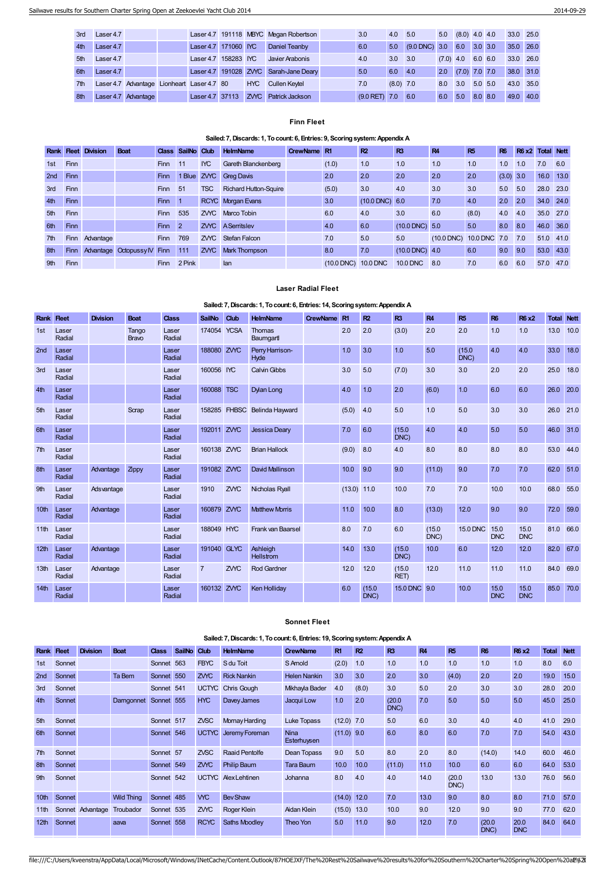| 3rd | Laser 4.7 |                                            |                      |            | Laser 4.7 191118 MBYC Megan Robertson  | 3.0             | 4.0         | 5.0                                 | 5.0         | $(8.0)$ 4.0 4.0           |           | 33.0 25.0 |  |
|-----|-----------|--------------------------------------------|----------------------|------------|----------------------------------------|-----------------|-------------|-------------------------------------|-------------|---------------------------|-----------|-----------|--|
| 4th | Laser 4.7 |                                            | Laser 4.7 171060 IYC |            | Daniel Teanby                          | 6.0             | 5.0         | $(9.0 \text{ DNC})$ 3.0 6.0 3.0 3.0 |             |                           |           | 35.0 26.0 |  |
| 5th | Laser 4.7 |                                            | Laser 4.7 158283 IYC |            | Javier Arabonis                        | 4.0             | 3.0         | 3.0                                 | $(7.0)$ 4.0 |                           | 6.0 6.0   | 33.0 26.0 |  |
| 6th | Laser 4.7 |                                            |                      |            | Laser 4.7 191028 ZVYC Sarah-Jane Deary | 5.0             | 6.0         | 4.0                                 |             | $2.0$ $(7.0)$ $7.0$ $7.0$ |           | 38.0 31.0 |  |
| 7th |           | Laser 4.7 Advantage Lionheart Laser 4.7 80 |                      | <b>HYC</b> | <b>Cullen Keytel</b>                   | 7.0             | $(8.0)$ 7.0 |                                     | 8.0         | 3.0                       | $5.0$ 5.0 | 43.0 35.0 |  |
| 8th |           | Laser 4.7 Advantage                        | Laser 4.7 37113      |            | <b>ZVYC</b> Patrick Jackson            | $(9.0$ RET) 7.0 |             | 6.0                                 | 6.0         | 5.0                       | 8.0 8.0   | 49.0 40.0 |  |

## **Finn Fleet**

## **Sailed:7,Discards:1, Tocount:6, Entries:9, Scoringsystem:Appendix A**

|                 |             | <b>Rank Fleet Division</b> | <b>Boat</b>                     |             | Class SailNo Club |            | <b>HelmName</b>              | CrewName R1 |                     | R <sup>2</sup>      | R <sub>3</sub>           | <b>R4</b>               | <b>R5</b> | R <sub>6</sub> | R6 x2 Total Nett |           |      |
|-----------------|-------------|----------------------------|---------------------------------|-------------|-------------------|------------|------------------------------|-------------|---------------------|---------------------|--------------------------|-------------------------|-----------|----------------|------------------|-----------|------|
| 1st             | <b>Finn</b> |                            |                                 | <b>Finn</b> | 11                | <b>IYC</b> | Gareth Blanckenberg          |             | (1.0)               | 1.0                 | 1.0                      | 1.0                     | 1.0       | 1.0            | 1.0              | 7.0       | 6.0  |
| 2nd             | <b>Finn</b> |                            |                                 | <b>Finn</b> | 1 Blue            |            | ZVYC Greg Davis              |             | 2.0                 | 2.0                 | 2.0                      | 2.0                     | 2.0       | $(3.0)$ 3.0    |                  | 16.0 13.0 |      |
| 3rd             | <b>Finn</b> |                            |                                 | <b>Finn</b> | 51                | <b>TSC</b> | <b>Richard Hutton-Squire</b> |             | (5.0)               | 3.0                 | 4.0                      | 3.0                     | 3.0       | 5.0            | 5.0              | 28.0      | 23.0 |
| 4th             | <b>Finn</b> |                            |                                 | Finn        |                   |            | RCYC Morgan Evans            |             | 3.0                 | $(10.0$ DNC $)$ 6.0 |                          | 7.0                     | 4.0       | 2.0            | 2.0              | 34.0 24.0 |      |
| 5th             | <b>Finn</b> |                            |                                 | <b>Finn</b> | 535               |            | ZVYC Marco Tobin             |             | 6.0                 | 4.0                 | 3.0                      | 6.0                     | (8.0)     | 4.0            | 4.0              | 35.0 27.0 |      |
| 6th             | Finn        |                            |                                 | Finn        | $\overline{2}$    |            | <b>ZVYC</b> ASerritslev      |             | 4.0                 | 6.0                 | $(10.0 \text{ DNC})$ 5.0 |                         | 5.0       | 8.0            | 8.0              | 46.0 36.0 |      |
| 7th             |             | Finn Advantage             |                                 | <b>Finn</b> | 769               |            | <b>ZVYC</b> Stefan Falcon    |             | 7.0                 | 5.0                 | 5.0                      | (10.0 DNC) 10.0 DNC 7.0 |           |                | 7.0              | 51.0 41.0 |      |
| 8th             | Finn        |                            | Advantage Octopussy IV Finn 111 |             |                   | <b>ZWC</b> | Mark Thompson                |             | 8.0                 | 7.0                 | $(10.0$ DNC) 4.0         |                         | 6.0       | 9.0            | 9.0              | 53.0 43.0 |      |
| 9 <sub>th</sub> | <b>Finn</b> |                            |                                 | <b>Finn</b> | 2 Pink            |            | lan                          |             | (10.0 DNC) 10.0 DNC |                     | <b>10.0 DNC</b>          | 8.0                     | 7.0       | 6.0            | 6.0              | 57.0      | 47.0 |

# **Laser Radial Fleet**

# **Sailed:7,Discards:1, Tocount:6, Entries:14, Scoringsystem:Appendix A**

| <b>Rank</b>      | <b>Heet</b>     | <b>Division</b> | <b>Boat</b>           | <b>Class</b>    | <b>SailNo</b>  | Club         | <b>HelmName</b>              | <b>CrewName</b> | R <sub>1</sub> | R <sub>2</sub> | R <sub>3</sub>  | R4             | R <sub>5</sub>  | <b>R6</b>          | <b>R6 x2</b>       | <b>Total Nett</b> |      |
|------------------|-----------------|-----------------|-----------------------|-----------------|----------------|--------------|------------------------------|-----------------|----------------|----------------|-----------------|----------------|-----------------|--------------------|--------------------|-------------------|------|
| 1st              | Laser<br>Radial |                 | Tango<br><b>Bravo</b> | Laser<br>Radial | 174054 YCSA    |              | <b>Thomas</b><br>Baumgartl   |                 | 2.0            | 2.0            | (3.0)           | 2.0            | 2.0             | 1.0                | 1.0                | 13.0              | 10.0 |
| 2nd              | Laser<br>Radial |                 |                       | Laser<br>Radial | 188080 ZVYC    |              | Perry Harrison-<br>Hyde      |                 | 1.0            | 3.0            | 1.0             | 5.0            | (15.0)<br>DNC)  | 4.0                | 4.0                | 33.0              | 18.0 |
| 3rd              | Laser<br>Radial |                 |                       | Laser<br>Radial | 160056 IYC     |              | <b>Calvin Gibbs</b>          |                 | 3.0            | 5.0            | (7.0)           | 3.0            | 3.0             | 2.0                | 2.0                | 25.0              | 18.0 |
| 4th              | Laser<br>Radial |                 |                       | Laser<br>Radial | 160088 TSC     |              | Dylan Long                   |                 | 4.0            | 1.0            | 2.0             | (6.0)          | 1.0             | 6.0                | 6.0                | 26.0              | 20.0 |
| 5th              | Laser<br>Radial |                 | Scrap                 | Laser<br>Radial |                | 158285 FHBSC | <b>Belinda Hayward</b>       |                 | (5.0)          | 4.0            | 5.0             | 1.0            | 5.0             | 3.0                | 3.0                | 26.0              | 21.0 |
| 6th              | Laser<br>Radial |                 |                       | Laser<br>Radial | 192011 ZWC     |              | <b>Jessica Dearv</b>         |                 | 7.0            | 6.0            | (15.0)<br>DNC)  | 4.0            | 4.0             | 5.0                | 5.0                | 46.0              | 31.0 |
| 7th              | Laser<br>Radial |                 |                       | Laser<br>Radial | 160138 ZWC     |              | <b>Brian Hallock</b>         |                 | (9.0)          | 8.0            | 4.0             | 8.0            | 8.0             | 8.0                | 8.0                | 53.0              | 44.0 |
| 8th              | Laser<br>Radial | Advantage       | Zippy                 | Laser<br>Radial | 191082 ZWC     |              | David Mallinson              |                 | 10.0           | 9.0            | 9.0             | (11.0)         | 9.0             | 7.0                | 7.0                | 62.0              | 51.0 |
| 9th              | Laser<br>Radial | Adsvantage      |                       | Laser<br>Radial | 1910           | ZVYC         | Nicholas Ryall               |                 | $(13.0)$ 11.0  |                | 10.0            | 7.0            | 7.0             | 10.0               | 10.0               | 68.0              | 55.0 |
| 10th             | Laser<br>Radial | Advantage       |                       | Laser<br>Radial | 160879 ZVYC    |              | <b>Matthew Morris</b>        |                 | 11.0           | 10.0           | 8.0             | (13.0)         | 12.0            | 9.0                | 9.0                | 72.0              | 59.0 |
| 11 <sup>th</sup> | Laser<br>Radial |                 |                       | Laser<br>Radial | 188049 HYC     |              | Frank van Baarsel            |                 | 8.0            | 7.0            | 6.0             | (15.0)<br>DNC) | <b>15.0 DNC</b> | 15.0<br><b>DNC</b> | 15.0<br><b>DNC</b> | 81.0              | 66.0 |
| 12th             | Laser<br>Radial | Advantage       |                       | Laser<br>Radial | 191040 GLYC    |              | Ashleigh<br><b>Hellstrom</b> |                 | 14.0           | 13.0           | (15.0)<br>DNC)  | 10.0           | 6.0             | 12.0               | 12.0               | 82.0              | 67.0 |
| 13th             | Laser<br>Radial | Advantage       |                       | Laser<br>Radial | $\overline{7}$ | ZVYC         | <b>Rod Gardner</b>           |                 | 12.0           | 12.0           | (15.0)<br>RET)  | 12.0           | 11.0            | 11.0               | 11.0               | 84.0              | 69.0 |
| 14th             | Laser<br>Radial |                 |                       | Laser<br>Radial | 160132         | ZVYC         | Ken Holliday                 |                 | 6.0            | (15.0)<br>DNC) | <b>15.0 DNC</b> | 9.0            | 10.0            | 15.0<br><b>DNC</b> | 15.0<br><b>DNC</b> | 85.0              | 70.0 |

# **Sonnet Fleet**

# **Sailed:7,Discards:1, Tocount:6, Entries:19, Scoringsystem:Appendix A**

| <b>Rank</b>      | <b>Heet</b> | <b>Division</b>  | <b>Boat</b>       | <b>Class</b> | <b>SailNo</b> | Club        | <b>HelmName</b>          | <b>CrewName</b>            | R <sub>1</sub> | R2    | R <sub>3</sub> | <b>R4</b> | <b>R5</b>      | <b>R6</b>      | <b>R6 x2</b>       | Total | <b>Nett</b> |
|------------------|-------------|------------------|-------------------|--------------|---------------|-------------|--------------------------|----------------------------|----------------|-------|----------------|-----------|----------------|----------------|--------------------|-------|-------------|
| 1st              | Sonnet      |                  |                   | Sonnet       | 563           | <b>FBYC</b> | S du Toit                | S Arnold                   | (2.0)          | 1.0   | 1.0            | 1.0       | 1.0            | 1.0            | 1.0                | 8.0   | 6.0         |
| 2 <sub>nd</sub>  | Sonnet      |                  | Ta Bem            | Sonnet       | 550           | ZWC         | <b>Rick Nankin</b>       | <b>Helen Nankin</b>        | 3.0            | 3.0   | 2.0            | 3.0       | (4.0)          | 2.0            | 2.0                | 19.0  | 15.0        |
| 3rd              | Sonnet      |                  |                   | Sonnet 541   |               |             | <b>UCTYC</b> Chris Gough | Mkhayla Bader              | 4.0            | (8.0) | 3.0            | 5.0       | 2.0            | 3.0            | 3.0                | 28.0  | 20.0        |
| 4th              | Sonnet      |                  | Darngonnet        | Sonnet 555   |               | <b>HYC</b>  | Davey James              | Jacqui Low                 | 1.0            | 2.0   | (20.0)<br>DNC) | 7.0       | 5.0            | 5.0            | 5.0                | 45.0  | 25.0        |
| 5th              | Sonnet      |                  |                   | Sonnet 517   |               | <b>ZVSC</b> | Mornay Harding           | <b>Luke Topass</b>         | $(12.0)$ 7.0   |       | 5.0            | 6.0       | 3.0            | 4.0            | 4.0                | 41.0  | 29.0        |
| 6th              | Sonnet      |                  |                   | Sonnet 546   |               |             | UCTYC Jeremy Foreman     | <b>Nina</b><br>Esterhuysen | $(11.0)$ 9.0   |       | 6.0            | 8.0       | 6.0            | 7.0            | 7.0                | 54.0  | 43.0        |
| 7th              | Sonnet      |                  |                   | Sonnet 57    |               | ZVSC        | <b>Raaid Pentolfe</b>    | Dean Topass                | 9.0            | 5.0   | 8.0            | 2.0       | 8.0            | (14.0)         | 14.0               | 60.0  | 46.0        |
| 8th              | Sonnet      |                  |                   | Sonnet 549   |               | ZWC         | Philip Baum              | <b>Tara Baum</b>           | 10.0           | 10.0  | (11.0)         | 11.0      | 10.0           | 6.0            | 6.0                | 64.0  | 53.0        |
| 9th              | Sonnet      |                  |                   | Sonnet 542   |               |             | UCTYC Alex Lehtinen      | Johanna                    | 8.0            | 4.0   | 4.0            | 14.0      | (20.0)<br>DNC) | 13.0           | 13.0               | 76.0  | 56.0        |
| 10 <sup>th</sup> | Sonnet      |                  | <b>Wild Thing</b> | Sonnet 485   |               | <b>VYC</b>  | <b>Bev Shaw</b>          |                            | (14.0)         | 12.0  | 7.0            | 13.0      | 9.0            | 8.0            | 8.0                | 71.0  | 57.0        |
| 11th             |             | Sonnet Advantage | Troubador         | Sonnet 535   |               | ZWC         | Roger Klein              | Aidan Klein                | (15.0)         | 13.0  | 10.0           | 9.0       | 12.0           | 9.0            | 9.0                | 77.0  | 62.0        |
| 12th             | Sonnet      |                  | aaya              | Sonnet 558   |               | <b>RCYC</b> | <b>Saths Moodley</b>     | Theo Yon                   | 5.0            | 11.0  | 9.0            | 12.0      | 7.0            | (20.0)<br>DNC) | 20.0<br><b>DNC</b> | 84.0  | 64.0        |